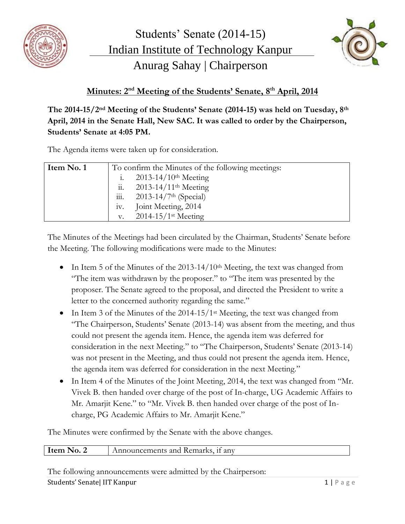



## **Minutes: 2 nd Meeting of the Students' Senate, 8 th April, 2014**

**The 2014-15/2nd Meeting of the Students' Senate (2014-15) was held on Tuesday, 8th April, 2014 in the Senate Hall, New SAC. It was called to order by the Chairperson, Students' Senate at 4:05 PM.**

The Agenda items were taken up for consideration.

| Item No. 1 | To confirm the Minutes of the following meetings: |                                       |
|------------|---------------------------------------------------|---------------------------------------|
|            |                                                   | $2013 - 14/10$ <sup>th</sup> Meeting  |
|            | $\dddot{11}$ .                                    | $2013 - 14/11$ <sup>th</sup> Meeting  |
|            | $\dddot{\mathbf{m}}$ .                            | $2013 - 14/7$ <sup>th</sup> (Special) |
|            | 1V.                                               | Joint Meeting, 2014                   |
|            | v.                                                | $2014 - 15/1$ <sup>st</sup> Meeting   |

The Minutes of the Meetings had been circulated by the Chairman, Students' Senate before the Meeting. The following modifications were made to the Minutes:

- In Item 5 of the Minutes of the  $2013-14/10$ <sup>th</sup> Meeting, the text was changed from "The item was withdrawn by the proposer." to "The item was presented by the proposer. The Senate agreed to the proposal, and directed the President to write a letter to the concerned authority regarding the same."
- $\bullet$  In Item 3 of the Minutes of the 2014-15/1<sup>st</sup> Meeting, the text was changed from "The Chairperson, Students' Senate (2013-14) was absent from the meeting, and thus could not present the agenda item. Hence, the agenda item was deferred for consideration in the next Meeting." to "The Chairperson, Students' Senate (2013-14) was not present in the Meeting, and thus could not present the agenda item. Hence, the agenda item was deferred for consideration in the next Meeting."
- In Item 4 of the Minutes of the Joint Meeting, 2014, the text was changed from "Mr. Vivek B. then handed over charge of the post of In-charge, UG Academic Affairs to Mr. Amarjit Kene." to "Mr. Vivek B. then handed over charge of the post of Incharge, PG Academic Affairs to Mr. Amarjit Kene."

The Minutes were confirmed by the Senate with the above changes.

|  | Item No. 2<br>Announcements and Remarks, if any |
|--|-------------------------------------------------|
|--|-------------------------------------------------|

The following announcements were admitted by the Chairperson: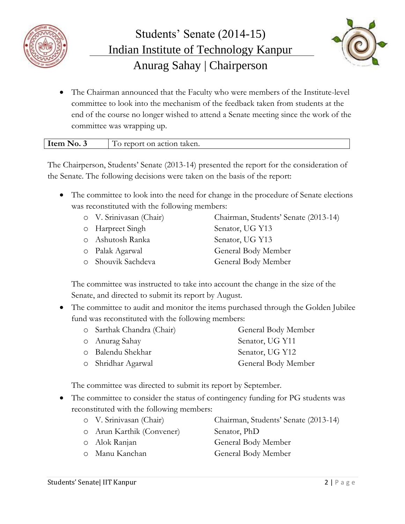



 The Chairman announced that the Faculty who were members of the Institute-level committee to look into the mechanism of the feedback taken from students at the end of the course no longer wished to attend a Senate meeting since the work of the committee was wrapping up.

| Item              | --                      |
|-------------------|-------------------------|
| $\sim$ No. $\sim$ | report on action taken. |

The Chairperson, Students' Senate (2013-14) presented the report for the consideration of the Senate. The following decisions were taken on the basis of the report:

 The committee to look into the need for change in the procedure of Senate elections was reconstituted with the following members:

| o V. Srinivasan (Chair) | Chairman, Students' Senate (2013-14) |
|-------------------------|--------------------------------------|
| o Harpreet Singh        | Senator, UG Y13                      |
| o Ashutosh Ranka        | Senator, UG Y13                      |
| 0 Palak Agarwal         | General Body Member                  |
| o Shouvik Sachdeva      | General Body Member                  |

The committee was instructed to take into account the change in the size of the Senate, and directed to submit its report by August.

 The committee to audit and monitor the items purchased through the Golden Jubilee fund was reconstituted with the following members:

| o Sarthak Chandra (Chair) | General Body Member |
|---------------------------|---------------------|
| 0 Anurag Sahay            | Senator, UG Y11     |
| o Balendu Shekhar         | Senator, UG Y12     |
| 0 Shridhar Agarwal        | General Body Member |

The committee was directed to submit its report by September.

• The committee to consider the status of contingency funding for PG students was reconstituted with the following members:

| o V. Srinivasan (Chair)   | Chairman, Students' Senate (2013-14) |
|---------------------------|--------------------------------------|
| o Arun Karthik (Convener) | Senator, PhD                         |
| 0 Alok Ranjan             | General Body Member                  |
| 0   Manu Kanchan          | General Body Member                  |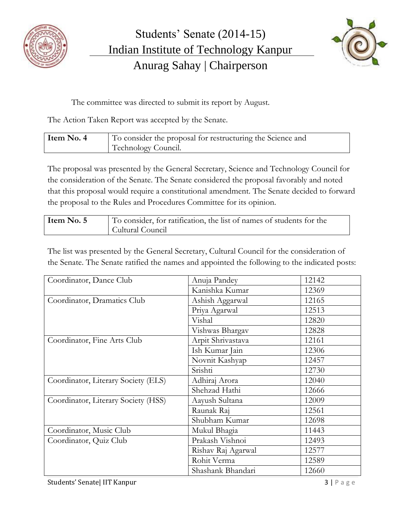



The committee was directed to submit its report by August.

The Action Taken Report was accepted by the Senate.

| Item No. 4 | To consider the proposal for restructuring the Science and |  |
|------------|------------------------------------------------------------|--|
|            | Technology Council.                                        |  |

The proposal was presented by the General Secretary, Science and Technology Council for the consideration of the Senate. The Senate considered the proposal favorably and noted that this proposal would require a constitutional amendment. The Senate decided to forward the proposal to the Rules and Procedures Committee for its opinion.

| Item No. 5 | To consider, for ratification, the list of names of students for the |
|------------|----------------------------------------------------------------------|
|            | Cultural Council                                                     |

The list was presented by the General Secretary, Cultural Council for the consideration of the Senate. The Senate ratified the names and appointed the following to the indicated posts:

| Coordinator, Dance Club             | Anuja Pandey       | 12142 |
|-------------------------------------|--------------------|-------|
|                                     | Kanishka Kumar     | 12369 |
| Coordinator, Dramatics Club         | Ashish Aggarwal    | 12165 |
|                                     | Priya Agarwal      | 12513 |
|                                     | Vishal             | 12820 |
|                                     | Vishwas Bhargav    | 12828 |
| Coordinator, Fine Arts Club         | Arpit Shrivastava  | 12161 |
|                                     | Ish Kumar Jain     | 12306 |
|                                     | Novnit Kashyap     | 12457 |
|                                     | Srishti            | 12730 |
| Coordinator, Literary Society (ELS) | Adhiraj Arora      | 12040 |
|                                     | Shehzad Hathi      | 12666 |
| Coordinator, Literary Society (HSS) | Aayush Sultana     | 12009 |
|                                     | Raunak Raj         | 12561 |
|                                     | Shubham Kumar      | 12698 |
| Coordinator, Music Club             | Mukul Bhagia       | 11443 |
| Coordinator, Quiz Club              | Prakash Vishnoi    | 12493 |
|                                     | Rishav Raj Agarwal | 12577 |
|                                     | Rohit Verma        | 12589 |
|                                     | Shashank Bhandari  | 12660 |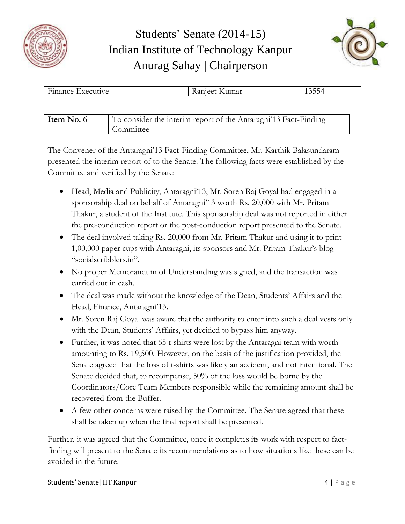



| $\mathbf{L}$<br><b>Finance Executive</b> | Ranjeet Kumar | 13554 |
|------------------------------------------|---------------|-------|
|                                          |               |       |
|                                          |               |       |

| Item No. 6 | To consider the interim report of the Antaragni'13 Fact-Finding |
|------------|-----------------------------------------------------------------|
|            | Committee                                                       |

The Convener of the Antaragni'13 Fact-Finding Committee, Mr. Karthik Balasundaram presented the interim report of to the Senate. The following facts were established by the Committee and verified by the Senate:

- Head, Media and Publicity, Antaragni'13, Mr. Soren Raj Goyal had engaged in a sponsorship deal on behalf of Antaragni'13 worth Rs. 20,000 with Mr. Pritam Thakur, a student of the Institute. This sponsorship deal was not reported in either the pre-conduction report or the post-conduction report presented to the Senate.
- The deal involved taking Rs. 20,000 from Mr. Pritam Thakur and using it to print 1,00,000 paper cups with Antaragni, its sponsors and Mr. Pritam Thakur's blog "socialscribblers.in".
- No proper Memorandum of Understanding was signed, and the transaction was carried out in cash.
- The deal was made without the knowledge of the Dean, Students' Affairs and the Head, Finance, Antaragni'13.
- Mr. Soren Raj Goyal was aware that the authority to enter into such a deal vests only with the Dean, Students' Affairs, yet decided to bypass him anyway.
- Further, it was noted that 65 t-shirts were lost by the Antaragni team with worth amounting to Rs. 19,500. However, on the basis of the justification provided, the Senate agreed that the loss of t-shirts was likely an accident, and not intentional. The Senate decided that, to recompense, 50% of the loss would be borne by the Coordinators/Core Team Members responsible while the remaining amount shall be recovered from the Buffer.
- A few other concerns were raised by the Committee. The Senate agreed that these shall be taken up when the final report shall be presented.

Further, it was agreed that the Committee, once it completes its work with respect to factfinding will present to the Senate its recommendations as to how situations like these can be avoided in the future.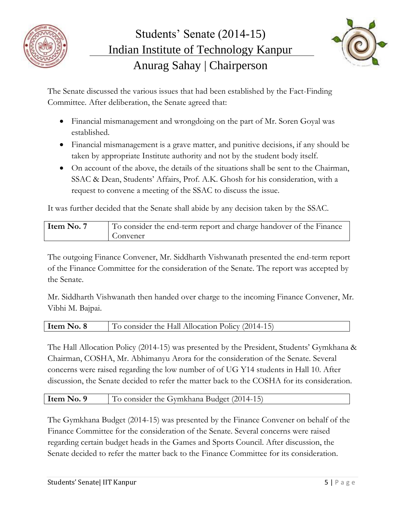



The Senate discussed the various issues that had been established by the Fact-Finding Committee. After deliberation, the Senate agreed that:

- Financial mismanagement and wrongdoing on the part of Mr. Soren Goyal was established.
- Financial mismanagement is a grave matter, and punitive decisions, if any should be taken by appropriate Institute authority and not by the student body itself.
- On account of the above, the details of the situations shall be sent to the Chairman, SSAC & Dean, Students' Affairs, Prof. A.K. Ghosh for his consideration, with a request to convene a meeting of the SSAC to discuss the issue.

It was further decided that the Senate shall abide by any decision taken by the SSAC.

| Item No. 7 | To consider the end-term report and charge handover of the Finance |
|------------|--------------------------------------------------------------------|
|            | Convener                                                           |

The outgoing Finance Convener, Mr. Siddharth Vishwanath presented the end-term report of the Finance Committee for the consideration of the Senate. The report was accepted by the Senate.

Mr. Siddharth Vishwanath then handed over charge to the incoming Finance Convener, Mr. Vibhi M. Bajpai.

| Item No. 8<br>To consider the Hall Allocation Policy (2014-15) |
|----------------------------------------------------------------|
|----------------------------------------------------------------|

The Hall Allocation Policy (2014-15) was presented by the President, Students' Gymkhana & Chairman, COSHA, Mr. Abhimanyu Arora for the consideration of the Senate. Several concerns were raised regarding the low number of of UG Y14 students in Hall 10. After discussion, the Senate decided to refer the matter back to the COSHA for its consideration.

## **Item No. 9** To consider the Gymkhana Budget (2014-15)

The Gymkhana Budget (2014-15) was presented by the Finance Convener on behalf of the Finance Committee for the consideration of the Senate. Several concerns were raised regarding certain budget heads in the Games and Sports Council. After discussion, the Senate decided to refer the matter back to the Finance Committee for its consideration.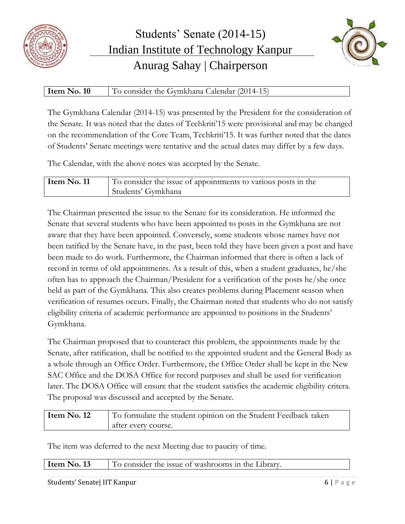



## **Item No. 10** To consider the Gymkhana Calendar (2014-15)

The Gymkhana Calendar (2014-15) was presented by the President for the consideration of the Senate. It was noted that the dates of Techkriti'15 were provisional and may be changed on the recommendation of the Core Team, Techkriti'15. It was further noted that the dates of Students' Senate meetings were tentative and the actual dates may differ by a few days.

The Calendar, with the above notes was accepted by the Senate.

| Item No. 11 | To consider the issue of appointments to various posts in the |
|-------------|---------------------------------------------------------------|
|             | Students' Gymkhana                                            |

The Chairman presented the issue to the Senate for its consideration. He informed the Senate that several students who have been appointed to posts in the Gymkhana are not aware that they have been appointed. Conversely, some students whose names have not been ratified by the Senate have, in the past, been told they have been given a post and have been made to do work. Furthermore, the Chairman informed that there is often a lack of record in terms of old appointments. As a result of this, when a student graduates, he/she often has to approach the Chairman/President for a verification of the posts he/she once held as part of the Gymkhana. This also creates problems during Placement season when verification of resumes occurs. Finally, the Chairman noted that students who do not satisfy eligibility criteria of academic performance are appointed to positions in the Students' Gymkhana.

The Chairman proposed that to counteract this problem, the appointments made by the Senate, after ratification, shall be notified to the appointed student and the General Body as a whole through an Office Order. Furthermore, the Office Order shall be kept in the New SAC Office and the DOSA Office for record purposes and shall be used for verification later. The DOSA Office will ensure that the student satisfies the academic eligibility critera. The proposal was discussed and accepted by the Senate.

| Item No. 12 | To formulate the student opinion on the Student Feedback taken |
|-------------|----------------------------------------------------------------|
|             | after every course.                                            |

The item was deferred to the next Meeting due to paucity of time.

Students' Senate| IIT Kanpur **6 | P** a g e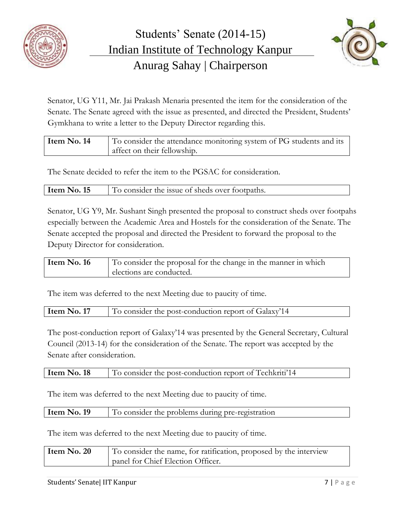



Senator, UG Y11, Mr. Jai Prakash Menaria presented the item for the consideration of the Senate. The Senate agreed with the issue as presented, and directed the President, Students' Gymkhana to write a letter to the Deputy Director regarding this.

| Item No. 14 | To consider the attendance monitoring system of PG students and its |
|-------------|---------------------------------------------------------------------|
|             | affect on their fellowship.                                         |

The Senate decided to refer the item to the PGSAC for consideration.

| Item No. 15 | To consider the issue of sheds over footpaths. |
|-------------|------------------------------------------------|
|             |                                                |

Senator, UG Y9, Mr. Sushant Singh presented the proposal to construct sheds over footpahs especially between the Academic Area and Hostels for the consideration of the Senate. The Senate accepted the proposal and directed the President to forward the proposal to the Deputy Director for consideration.

| Item No. 16 | To consider the proposal for the change in the manner in which |
|-------------|----------------------------------------------------------------|
|             | elections are conducted.                                       |

The item was deferred to the next Meeting due to paucity of time.

**Item No. 17** To consider the post-conduction report of Galaxy'14

The post-conduction report of Galaxy'14 was presented by the General Secretary, Cultural Council (2013-14) for the consideration of the Senate. The report was accepted by the Senate after consideration.

| Item No. 18 |  |  | To consider the post-conduction report of Techkriti <sup>'</sup> 14 |
|-------------|--|--|---------------------------------------------------------------------|
|-------------|--|--|---------------------------------------------------------------------|

The item was deferred to the next Meeting due to paucity of time.

| Item No. 19<br>To consider the problems during pre-registration |
|-----------------------------------------------------------------|
|-----------------------------------------------------------------|

The item was deferred to the next Meeting due to paucity of time.

| Item No. $20$ | To consider the name, for ratification, proposed by the interview |
|---------------|-------------------------------------------------------------------|
|               | panel for Chief Election Officer.                                 |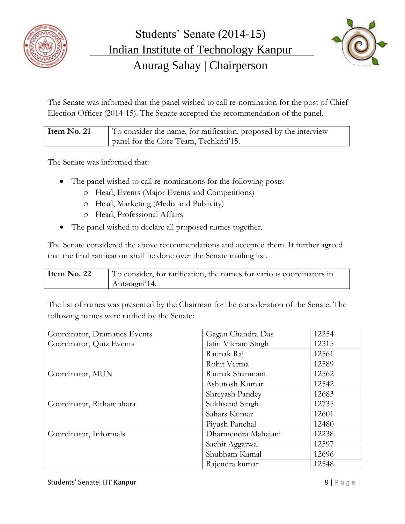



The Senate was informed that the panel wished to call re-nomination for the post of Chief Election Officer (2014-15). The Senate accepted the recommendation of the panel.

| Item No. 21 | To consider the name, for ratification, proposed by the interview |
|-------------|-------------------------------------------------------------------|
|             | panel for the Core Team, Techkriti'15.                            |

The Senate was informed that:

- The panel wished to call re-nominations for the following posts:
	- o Head, Events (Major Events and Competitions)
	- o Head, Marketing (Media and Publicity)
	- o Head, Professional Affairs
- The panel wished to declare all proposed names together.

The Senate considered the above recommendations and accepted them. It further agreed that the final ratification shall be done over the Senate mailing list.

| Item No. 22 | To consider, for ratification, the names for various coordinators in |
|-------------|----------------------------------------------------------------------|
|             | Antaragni'14.                                                        |

The list of names was presented by the Chairman for the consideration of the Senate. The following names were ratified by the Senate:

| Coordinator, Dramatics Events | Gagan Chandra Das   | 12254 |
|-------------------------------|---------------------|-------|
| Coordinator, Quiz Events      | Jatin Vikram Singh  | 12315 |
|                               | Raunak Raj          | 12561 |
|                               | Rohit Verma         | 12589 |
| Coordinator, MUN              | Raunak Shamnani     | 12562 |
|                               | Ashutosh Kumar      | 12542 |
|                               | Shreyash Pandey     | 12683 |
| Coordinator, Rithambhara      | Sukhsand Singh      | 12735 |
|                               | Sahars Kumar        | 12601 |
|                               | Piyush Panchal      | 12480 |
| Coordinator, Informals        | Dharmendra Mahajani | 12238 |
|                               | Sachit Aggarwal     | 12597 |
|                               | Shubham Kamal       | 12696 |
|                               | Rajendra kumar      | 12548 |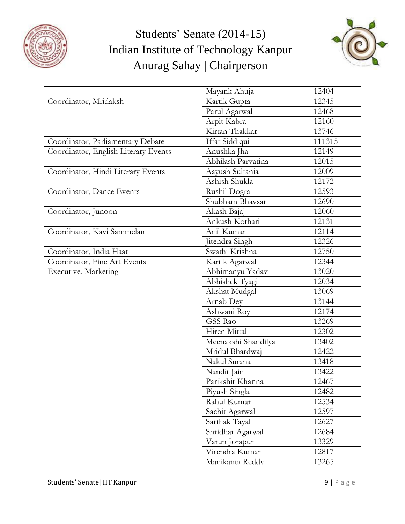



|                                      | Mayank Ahuja        | 12404  |
|--------------------------------------|---------------------|--------|
| Coordinator, Mridaksh                | Kartik Gupta        | 12345  |
|                                      | Parul Agarwal       | 12468  |
|                                      | Arpit Kabra         | 12160  |
|                                      | Kirtan Thakkar      | 13746  |
| Coordinator, Parliamentary Debate    | Iffat Siddiqui      | 111315 |
| Coordinator, English Literary Events | Anushka Jha         | 12149  |
|                                      | Abhilash Parvatina  | 12015  |
| Coordinator, Hindi Literary Events   | Aayush Sultania     | 12009  |
|                                      | Ashish Shukla       | 12172  |
| Coordinator, Dance Events            | Rushil Dogra        | 12593  |
|                                      | Shubham Bhavsar     | 12690  |
| Coordinator, Junoon                  | Akash Bajaj         | 12060  |
|                                      | Ankush Kothari      | 12131  |
| Coordinator, Kavi Sammelan           | Anil Kumar          | 12114  |
|                                      | Jitendra Singh      | 12326  |
| Coordinator, India Haat              | Swathi Krishna      | 12750  |
| Coordinator, Fine Art Events         | Kartik Agarwal      | 12344  |
| Executive, Marketing                 | Abhimanyu Yadav     | 13020  |
|                                      | Abhishek Tyagi      | 12034  |
|                                      | Akshat Mudgal       | 13069  |
|                                      | Arnab Dey           | 13144  |
|                                      | Ashwani Roy         | 12174  |
|                                      | GSS Rao             | 13269  |
|                                      | Hiren Mittal        | 12302  |
|                                      | Meenakshi Shandilya | 13402  |
|                                      | Mridul Bhardwaj     | 12422  |
|                                      | Nakul Surana        | 13418  |
|                                      | Nandit Jain         | 13422  |
|                                      | Parikshit Khanna    | 12467  |
|                                      | Piyush Singla       | 12482  |
|                                      | Rahul Kumar         | 12534  |
|                                      | Sachit Agarwal      | 12597  |
|                                      | Sarthak Tayal       | 12627  |
|                                      | Shridhar Agarwal    | 12684  |
|                                      | Varun Jorapur       | 13329  |
|                                      | Virendra Kumar      | 12817  |
|                                      | Manikanta Reddy     | 13265  |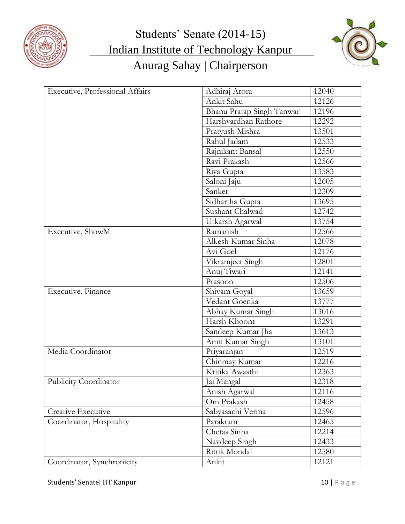



| Executive, Professional Affairs | Adhiraj Arora             | 12040 |
|---------------------------------|---------------------------|-------|
|                                 | Ankit Sahu                | 12126 |
|                                 | Bhanu Pratap Singh Tanwar | 12196 |
|                                 | Harshvardhan Rathore      | 12292 |
|                                 | Pratyush Mishra           | 13501 |
|                                 | Rahul Jadam               | 12533 |
|                                 | Rajnikant Bansal          | 12550 |
|                                 | Ravi Prakash              | 12566 |
|                                 | Riya Gupta                | 13583 |
|                                 | Saloni Jaju               | 12605 |
|                                 | Sanket                    | 12309 |
|                                 | Sidhartha Gupta           | 13695 |
|                                 | Sushant Chalwad           | 12742 |
|                                 | Utkarsh Agarwal           | 13754 |
| Executive, ShowM                | Ramanish                  | 12566 |
|                                 | Alkesh Kumar Sinha        | 12078 |
|                                 | Avi Goel                  | 12176 |
|                                 | Vikramjeet Singh          | 12801 |
|                                 | Anuj Tiwari               | 12141 |
|                                 | Prasoon                   | 12506 |
| Executive, Finance              | Shivam Goyal              | 13659 |
|                                 | Vedant Goenka             | 13777 |
|                                 | Abhay Kumar Singh         | 13016 |
|                                 | Harsh Khoont              | 13291 |
|                                 | Sandeep Kumar Jha         | 13613 |
|                                 | Amit Kumar Singh          | 13101 |
| Media Coordinator               | Priyaranjan               | 12519 |
|                                 | Chinmay Kumar             | 12216 |
|                                 | Kritika Awasthi           | 12363 |
| Publicity Coordinator           | Jai Mangal                | 12318 |
|                                 | Anish Agarwal             | 12116 |
|                                 | Om Prakash                | 12458 |
| Creative Executive              | Sabyasachi Verma          | 12596 |
| Coordinator, Hospitality        | Parakram                  | 12465 |
|                                 | Chetas Sinha              | 12214 |
|                                 | Navdeep Singh             | 12433 |
|                                 | Rittik Mondal             | 12580 |
| Coordinator, Synchronicity      | Ankit                     | 12121 |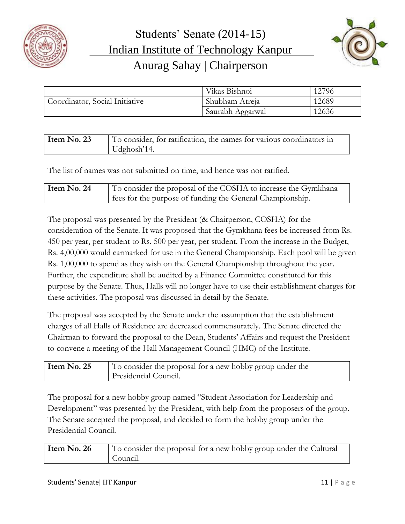



|                                | Vikas Bishnoi    | 12796 |
|--------------------------------|------------------|-------|
| Coordinator, Social Initiative | Shubham Atreja   | 12689 |
|                                | Saurabh Aggarwal | 12636 |

| Item No. 23 | To consider, for ratification, the names for various coordinators in |
|-------------|----------------------------------------------------------------------|
|             | $Udg$ hosh'14.                                                       |

The list of names was not submitted on time, and hence was not ratified.

| Item No. 24 | To consider the proposal of the COSHA to increase the Gymkhana |
|-------------|----------------------------------------------------------------|
|             | s ees for the purpose of funding the General Championship.     |

The proposal was presented by the President (& Chairperson, COSHA) for the consideration of the Senate. It was proposed that the Gymkhana fees be increased from Rs. 450 per year, per student to Rs. 500 per year, per student. From the increase in the Budget, Rs. 4,00,000 would earmarked for use in the General Championship. Each pool will be given Rs. 1,00,000 to spend as they wish on the General Championship throughout the year. Further, the expenditure shall be audited by a Finance Committee constituted for this purpose by the Senate. Thus, Halls will no longer have to use their establishment charges for these activities. The proposal was discussed in detail by the Senate.

The proposal was accepted by the Senate under the assumption that the establishment charges of all Halls of Residence are decreased commensurately. The Senate directed the Chairman to forward the proposal to the Dean, Students' Affairs and request the President to convene a meeting of the Hall Management Council (HMC) of the Institute.

| Item $No. 25$ | $\vert$ To consider the proposal for a new hobby group under the |
|---------------|------------------------------------------------------------------|
|               | Presidential Council.                                            |

The proposal for a new hobby group named "Student Association for Leadership and Development" was presented by the President, with help from the proposers of the group. The Senate accepted the proposal, and decided to form the hobby group under the Presidential Council.

| Item No. 26 | To consider the proposal for a new hobby group under the Cultural |
|-------------|-------------------------------------------------------------------|
|             | Council.                                                          |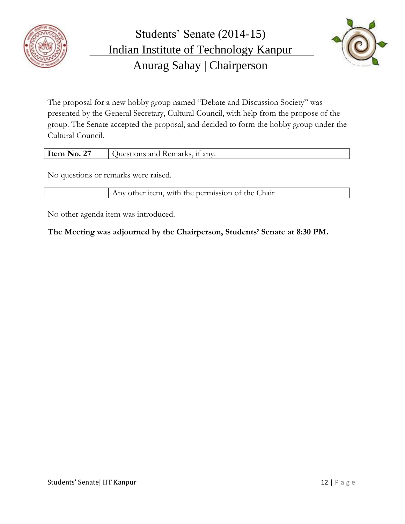



The proposal for a new hobby group named "Debate and Discussion Society" was presented by the General Secretary, Cultural Council, with help from the propose of the group. The Senate accepted the proposal, and decided to form the hobby group under the Cultural Council.

| $\mathsf{Item}$<br>$N_0$ .<br>0.27 | - Remarks.<br>anv.<br>Juest<br>and<br>ons. |
|------------------------------------|--------------------------------------------|
|                                    |                                            |

No questions or remarks were raised.

Any other item, with the permission of the Chair

No other agenda item was introduced.

**The Meeting was adjourned by the Chairperson, Students' Senate at 8:30 PM.**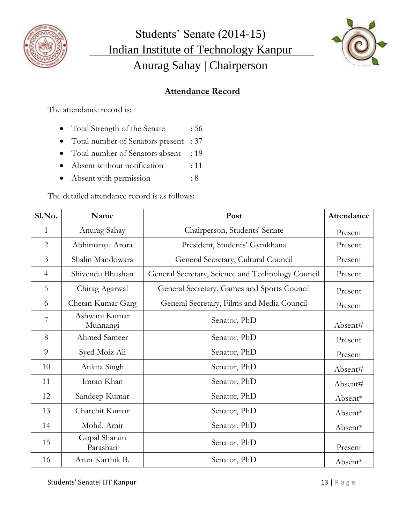



## **Attendance Record**

The attendance record is:

- Total Strength of the Senate : 56
- Total number of Senators present : 37
- Total number of Senators absent : 19
- Absent without notification : 11
- Absent with permission : 8

The detailed attendance record is as follows:

| Sl.No.         | Name                       | Post                                              | Attendance |
|----------------|----------------------------|---------------------------------------------------|------------|
| $\mathbf{1}$   | Anurag Sahay               | Chairperson, Students' Senate                     | Present    |
| $\overline{2}$ | Abhimanyu Arora            | President, Students' Gymkhana                     | Present    |
| 3              | Shalin Mandowara           | General Secretary, Cultural Council               | Present    |
| $\overline{4}$ | Shivendu Bhushan           | General Secretary, Science and Technology Council | Present    |
| 5              | Chirag Agarwal             | General Secretary, Games and Sports Council       | Present    |
| 6              | Chetan Kumar Garg          | General Secretary, Films and Media Council        | Present    |
| 7              | Ashwani Kumar<br>Munnangi  | Senator, PhD                                      | Absent#    |
| 8              | Ahmed Sameer               | Senator, PhD                                      | Present    |
| 9              | Syed Moiz Ali              | Senator, PhD                                      | Present    |
| 10             | Ankita Singh               | Senator, PhD                                      | Absent#    |
| 11             | Imran Khan                 | Senator, PhD                                      | Absent#    |
| 12             | Sandeep Kumar              | Senator, PhD                                      | Absent*    |
| 13             | Charchit Kumar             | Senator, PhD                                      | Absent*    |
| 14             | Mohd. Amir                 | Senator, PhD                                      | Absent*    |
| 15             | Gopal Sharain<br>Parashari | Senator, PhD                                      | Present    |
| 16             | Arun Karthik B.            | Senator, PhD                                      | Absent*    |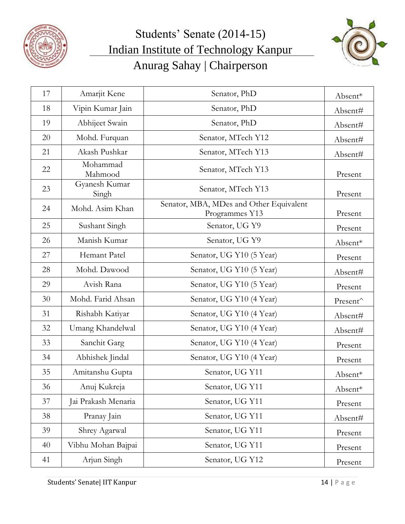



| 17 | Amarjit Kene           | Senator, PhD                                              | Absent*  |
|----|------------------------|-----------------------------------------------------------|----------|
| 18 | Vipin Kumar Jain       | Senator, PhD                                              | Absent#  |
| 19 | Abhijeet Swain         | Senator, PhD                                              | Absent#  |
| 20 | Mohd. Furquan          | Senator, MTech Y12                                        | Absent#  |
| 21 | Akash Pushkar          | Senator, MTech Y13                                        | Absent#  |
| 22 | Mohammad<br>Mahmood    | Senator, MTech Y13                                        | Present  |
| 23 | Gyanesh Kumar<br>Singh | Senator, MTech Y13                                        | Present  |
| 24 | Mohd. Asim Khan        | Senator, MBA, MDes and Other Equivalent<br>Programmes Y13 | Present  |
| 25 | Sushant Singh          | Senator, UG Y9                                            | Present  |
| 26 | Manish Kumar           | Senator, UG Y9                                            | Absent*  |
| 27 | Hemant Patel           | Senator, UG Y10 (5 Year)                                  | Present  |
| 28 | Mohd. Dawood           | Senator, UG Y10 (5 Year)                                  | Absent#  |
| 29 | Avish Rana             | Senator, UG Y10 (5 Year)                                  | Present  |
| 30 | Mohd. Farid Ahsan      | Senator, UG Y10 (4 Year)                                  | Present^ |
| 31 | Rishabh Katiyar        | Senator, UG Y10 (4 Year)                                  | Absent#  |
| 32 | Umang Khandelwal       | Senator, UG Y10 (4 Year)                                  | Absent#  |
| 33 | Sanchit Garg           | Senator, UG Y10 (4 Year)                                  | Present  |
| 34 | Abhishek Jindal        | Senator, UG Y10 (4 Year)                                  | Present  |
| 35 | Amitanshu Gupta        | Senator, UG Y11                                           | Absent*  |
| 36 | Anuj Kukreja           | Senator, UG Y11                                           | Absent*  |
| 37 | Jai Prakash Menaria    | Senator, UG Y11                                           | Present  |
| 38 | Pranay Jain            | Senator, UG Y11                                           | Absent#  |
| 39 | Shrey Agarwal          | Senator, UG Y11                                           | Present  |
| 40 | Vibhu Mohan Bajpai     | Senator, UG Y11                                           | Present  |
| 41 | Arjun Singh            | Senator, UG Y12                                           | Present  |